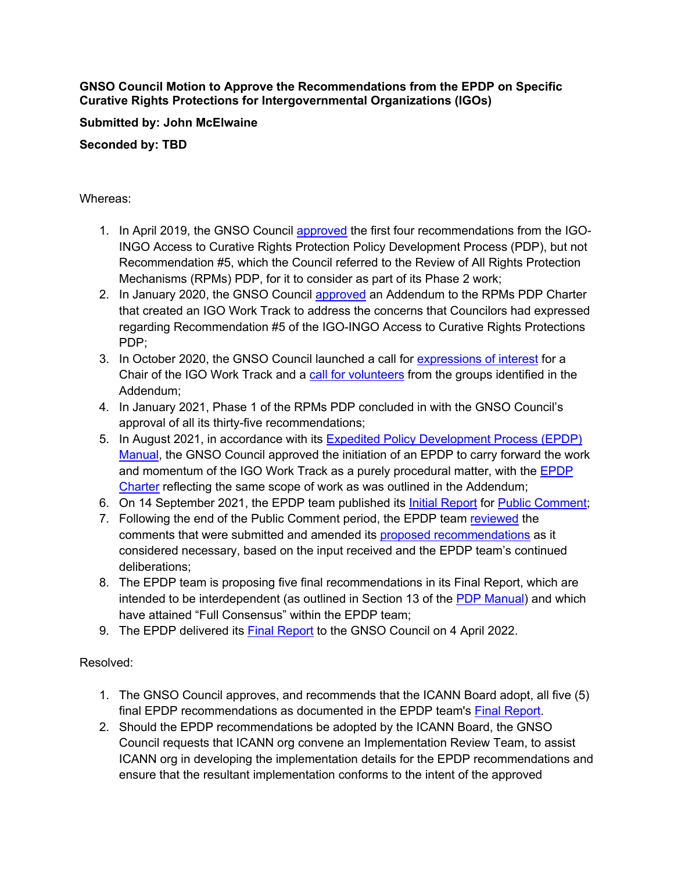**GNSO Council Motion to Approve the Recommendations from the EPDP on Specific Curative Rights Protections for Intergovernmental Organizations (IGOs)**

## **Submitted by: John McElwaine**

**Seconded by: TBD**

## Whereas:

- 1. In April 2019, the GNSO Council approved the first four recommendations from the IGO-INGO Access to Curative Rights Protection Policy Development Process (PDP), but not Recommendation #5, which the Council referred to the Review of All Rights Protection Mechanisms (RPMs) PDP, for it to consider as part of its Phase 2 work;
- 2. In January 2020, the GNSO Council approved an Addendum to the RPMs PDP Charter that created an IGO Work Track to address the concerns that Councilors had expressed regarding Recommendation #5 of the IGO-INGO Access to Curative Rights Protections PDP;
- 3. In October 2020, the GNSO Council launched a call for expressions of interest for a Chair of the IGO Work Track and a call for volunteers from the groups identified in the Addendum;
- 4. In January 2021, Phase 1 of the RPMs PDP concluded in with the GNSO Council's approval of all its thirty-five recommendations;
- 5. In August 2021, in accordance with its Expedited Policy Development Process (EPDP) Manual, the GNSO Council approved the initiation of an EPDP to carry forward the work and momentum of the IGO Work Track as a purely procedural matter, with the **EPDP** Charter reflecting the same scope of work as was outlined in the Addendum;
- 6. On 14 September 2021, the EPDP team published its Initial Report for Public Comment;
- 7. Following the end of the Public Comment period, the EPDP team reviewed the comments that were submitted and amended its proposed recommendations as it considered necessary, based on the input received and the EPDP team's continued deliberations;
- 8. The EPDP team is proposing five final recommendations in its Final Report, which are intended to be interdependent (as outlined in Section 13 of the PDP Manual) and which have attained "Full Consensus" within the EPDP team;
- 9. The EPDP delivered its Final Report to the GNSO Council on 4 April 2022.

Resolved:

- 1. The GNSO Council approves, and recommends that the ICANN Board adopt, all five (5) final EPDP recommendations as documented in the EPDP team's Final Report.
- 2. Should the EPDP recommendations be adopted by the ICANN Board, the GNSO Council requests that ICANN org convene an Implementation Review Team, to assist ICANN org in developing the implementation details for the EPDP recommendations and ensure that the resultant implementation conforms to the intent of the approved